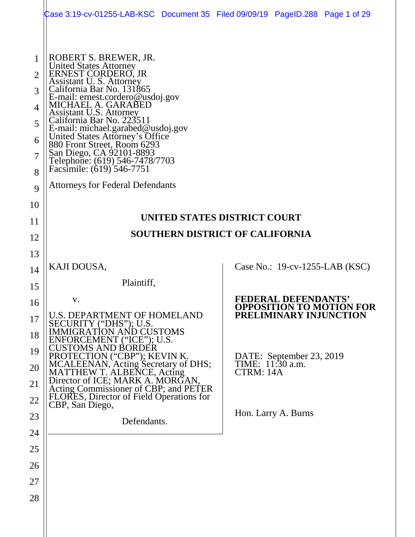|                                                                           | Case 3:19-cv-01255-LAB-KSC Document 35 Filed 09/09/19 PageID.288 Page 1 of 29                                                                                                                                                                                                                                                                                                                                                                                                                 |           |                                              |                                   |
|---------------------------------------------------------------------------|-----------------------------------------------------------------------------------------------------------------------------------------------------------------------------------------------------------------------------------------------------------------------------------------------------------------------------------------------------------------------------------------------------------------------------------------------------------------------------------------------|-----------|----------------------------------------------|-----------------------------------|
| $\overline{2}$<br>3<br>$\overline{4}$<br>5<br>6<br>$\tau$<br>8<br>9<br>10 | ROBERT S. BREWER, JR.<br>United States Attorney<br>ERNEST CORDERO, JR<br>Assistant U. S. Attorney<br>California Bar No. 131865<br>E-mail: ernest.cordero@usdoj.gov<br>MICHAEL A. GARABED<br>Assistant U.S. Attorney<br>California Bar No. 223511<br>E-mail: michael.garabed@usdoj.gov<br>United States Attorney's Office<br>880 Front Street, Room 6293<br>San Diego, CA 92101-8893<br>Telephone: (619) 546-7478/7703<br>Facsimile: (619) 546-7751<br><b>Attorneys for Federal Defendants</b> |           |                                              |                                   |
| 11                                                                        | UNITED STATES DISTRICT COURT                                                                                                                                                                                                                                                                                                                                                                                                                                                                  |           |                                              |                                   |
| 12                                                                        | <b>SOUTHERN DISTRICT OF CALIFORNIA</b>                                                                                                                                                                                                                                                                                                                                                                                                                                                        |           |                                              |                                   |
| 13                                                                        |                                                                                                                                                                                                                                                                                                                                                                                                                                                                                               |           |                                              |                                   |
| 14                                                                        | KAJI DOUSA,                                                                                                                                                                                                                                                                                                                                                                                                                                                                                   |           |                                              | Case No.: $19$ -cv-1255-LAB (KSC) |
| 15                                                                        | Plaintiff,                                                                                                                                                                                                                                                                                                                                                                                                                                                                                    |           |                                              |                                   |
| 16                                                                        | V.                                                                                                                                                                                                                                                                                                                                                                                                                                                                                            |           | <b>FEDERAL DEFENDANTS'</b>                   | <b>OPPOSITION TO MOTION FOR</b>   |
| 17                                                                        | <b>U.S. DEPARTMENT OF HOMELAND</b><br>SECURITY ("DHS"); U.S.                                                                                                                                                                                                                                                                                                                                                                                                                                  |           | PRELIMINARY INJUNCTION                       |                                   |
| 18                                                                        | MIGRATION AND CUSTOMS<br>ENFORCEMENT (''ICE''); U.S.                                                                                                                                                                                                                                                                                                                                                                                                                                          |           |                                              |                                   |
| 19                                                                        | CUSTOMS AND BORDER<br>PROTECTION (''CBP''); KEVIN K.                                                                                                                                                                                                                                                                                                                                                                                                                                          |           |                                              |                                   |
| 20                                                                        | MCALEENAN, Acting Secretary of DHS;<br>MATTHEW T. ALBENCE, Acting                                                                                                                                                                                                                                                                                                                                                                                                                             | CTRM: 14A | DATE: September 23, 2019<br>TIME: 11:30 a.m. |                                   |
| 21                                                                        | Director of ICE; MARK A. MORGAN,<br>Acting Commissioner of CBP; and PETER                                                                                                                                                                                                                                                                                                                                                                                                                     |           |                                              |                                   |
| 22                                                                        | FLORES, Director of Field Operations for<br>CBP, San Diego,                                                                                                                                                                                                                                                                                                                                                                                                                                   |           |                                              |                                   |
| 23                                                                        | Defendants.                                                                                                                                                                                                                                                                                                                                                                                                                                                                                   |           | Hon. Larry A. Burns                          |                                   |
| 24                                                                        |                                                                                                                                                                                                                                                                                                                                                                                                                                                                                               |           |                                              |                                   |
| 25                                                                        |                                                                                                                                                                                                                                                                                                                                                                                                                                                                                               |           |                                              |                                   |
| 26                                                                        |                                                                                                                                                                                                                                                                                                                                                                                                                                                                                               |           |                                              |                                   |
| 27                                                                        |                                                                                                                                                                                                                                                                                                                                                                                                                                                                                               |           |                                              |                                   |
| 28                                                                        |                                                                                                                                                                                                                                                                                                                                                                                                                                                                                               |           |                                              |                                   |
|                                                                           |                                                                                                                                                                                                                                                                                                                                                                                                                                                                                               |           |                                              |                                   |
|                                                                           |                                                                                                                                                                                                                                                                                                                                                                                                                                                                                               |           |                                              |                                   |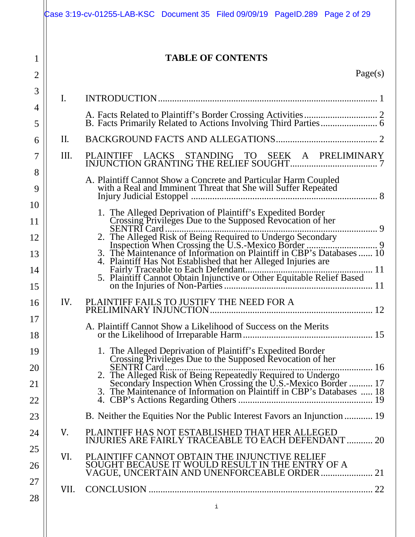|                |                | Case 3:19-cv-01255-LAB-KSC Document 35 Filed 09/09/19 PageID.289 Page 2 of 29                                                                                                                         |
|----------------|----------------|-------------------------------------------------------------------------------------------------------------------------------------------------------------------------------------------------------|
| 1              |                | <b>TABLE OF CONTENTS</b>                                                                                                                                                                              |
| $\overline{2}$ |                | Page(s)                                                                                                                                                                                               |
| 3              |                |                                                                                                                                                                                                       |
| 4              | $\mathbf{I}$ . |                                                                                                                                                                                                       |
| 5              |                |                                                                                                                                                                                                       |
| 6              | II.            |                                                                                                                                                                                                       |
| 7              | III.           |                                                                                                                                                                                                       |
| 8              |                | A. Plaintiff Cannot Show a Concrete and Particular Harm Coupled<br>with a Real and Imminent Threat that She will Suffer Repeated                                                                      |
| 9              |                |                                                                                                                                                                                                       |
| 10<br>11       |                | 1. The Alleged Deprivation of Plaintiff's Expedited Border<br>Crossing Privileges Due to the Supposed Revocation of her                                                                               |
| 12             |                |                                                                                                                                                                                                       |
| 13             |                |                                                                                                                                                                                                       |
| 14             |                |                                                                                                                                                                                                       |
| 15             |                |                                                                                                                                                                                                       |
| 16             | IV.            | PLAINTIFF FAILS TO JUSTIFY THE NEED FOR A                                                                                                                                                             |
| 17             |                | A. Plaintiff Cannot Show a Likelihood of Success on the Merits                                                                                                                                        |
| 18             |                |                                                                                                                                                                                                       |
| 19             |                | 1. The Alleged Deprivation of Plaintiff's Expedited Border<br>Crossing Privileges Due to the Supposed Revocation of her                                                                               |
| 20             |                | <b>SENTRI</b> Card.<br>16                                                                                                                                                                             |
| 21             |                | 2. The Alleged Risk of Being Repeatedly Required to Undergo<br>Secondary Inspection When Crossing the U.S.-Mexico Border  17<br>3. The Maintenance of Information on Plaintiff in CBP's Databases  18 |
| 22<br>23       |                | B. Neither the Equities Nor the Public Interest Favors an Injunction  19                                                                                                                              |
| 24             | V.             | PLAINTIFF HAS NOT ESTABLISHED THAT HER ALLEGED                                                                                                                                                        |
| 25             |                | INJURIES ARE FAIRLY TRACEABLE TO EACH DEFENDANT  20                                                                                                                                                   |
| 26             | VI.            | PLAINTIFF CANNOT OBTAIN THE INJUNCTIVE RELIEF<br>SOUGHT BECAUSE IT WOULD RESULT IN THE ENTRY OF A                                                                                                     |
| 27             |                | SOOOILL BECAOSE IT WOULD RESULT IN THE ENTRY OF A<br>VAGUE, UNCERTAIN AND UNENFORCEABLE ORDER  21                                                                                                     |
| 28             | VII.           |                                                                                                                                                                                                       |
|                |                | i                                                                                                                                                                                                     |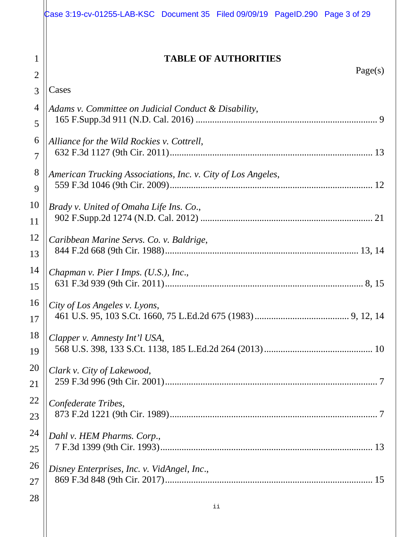|                | Case 3:19-cv-01255-LAB-KSC Document 35 Filed 09/09/19 PageID.290 Page 3 of 29 |
|----------------|-------------------------------------------------------------------------------|
| 1              | <b>TABLE OF AUTHORITIES</b>                                                   |
| $\overline{2}$ | Page(s)                                                                       |
| 3              | Cases                                                                         |
| 4              | Adams v. Committee on Judicial Conduct & Disability,                          |
| 5              |                                                                               |
| 6              | Alliance for the Wild Rockies v. Cottrell,                                    |
| $\overline{7}$ |                                                                               |
| 8              | American Trucking Associations, Inc. v. City of Los Angeles,                  |
| 9              |                                                                               |
| 10             | Brady v. United of Omaha Life Ins. Co.,                                       |
| 11             |                                                                               |
| 12             | Caribbean Marine Servs. Co. v. Baldrige,                                      |
| 13             |                                                                               |
| 14             | Chapman v. Pier I Imps. (U.S.), Inc.,                                         |
| 15             |                                                                               |
| 16             | City of Los Angeles v. Lyons,                                                 |
| 17             |                                                                               |
| 18             | Clapper v. Amnesty Int'l USA,                                                 |
| 19             |                                                                               |
| 20             | Clark v. City of Lakewood,                                                    |
| 21             |                                                                               |
| 22             | Confederate Tribes,                                                           |
| 23             |                                                                               |
| 24             | Dahl v. HEM Pharms. Corp.,                                                    |
| 25             |                                                                               |
| 26             | Disney Enterprises, Inc. v. VidAngel, Inc.,                                   |
| 27             |                                                                               |
| 28             |                                                                               |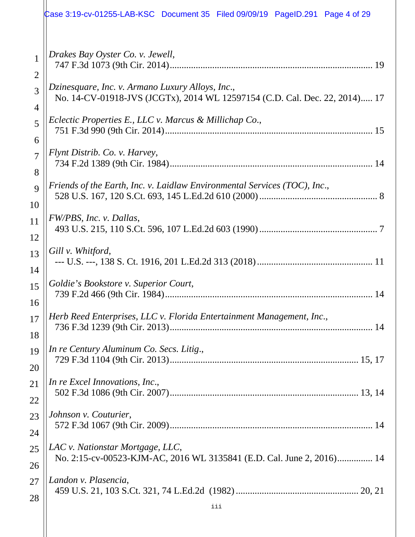|                | Case 3:19-cv-01255-LAB-KSC Document 35 Filed 09/09/19 PageID.291 Page 4 of 29 |
|----------------|-------------------------------------------------------------------------------|
| 1              | Drakes Bay Oyster Co. v. Jewell,                                              |
| $\overline{2}$ |                                                                               |
| 3              | Dzinesquare, Inc. v. Armano Luxury Alloys, Inc.,                              |
| 4              | No. 14-CV-01918-JVS (JCGTx), 2014 WL 12597154 (C.D. Cal. Dec. 22, 2014) 17    |
| 5              | Eclectic Properties E., LLC v. Marcus & Millichap Co.,                        |
| 6              |                                                                               |
| $\overline{7}$ | Flynt Distrib. Co. v. Harvey,                                                 |
| 8              |                                                                               |
| 9              | Friends of the Earth, Inc. v. Laidlaw Environmental Services (TOC), Inc.,     |
| 10             |                                                                               |
| 11             | FW/PBS, Inc. v. Dallas,                                                       |
| 12             |                                                                               |
| 13             | Gill v. Whitford,                                                             |
| 14             |                                                                               |
| 15             | Goldie's Bookstore v. Superior Court,                                         |
| 16             |                                                                               |
| 17             | Herb Reed Enterprises, LLC v. Florida Entertainment Management, Inc.,         |
| 18             |                                                                               |
| 19             | In re Century Aluminum Co. Secs. Litig.,                                      |
| 20             |                                                                               |
| 21             | In re Excel Innovations, Inc.,                                                |
| 22             |                                                                               |
| 23             | Johnson v. Couturier,                                                         |
| 24             |                                                                               |
| 25             | LAC v. Nationstar Mortgage, LLC,                                              |
| 26             | No. 2:15-cv-00523-KJM-AC, 2016 WL 3135841 (E.D. Cal. June 2, 2016) 14         |
| 27             | Landon v. Plasencia,                                                          |
| 28             |                                                                               |
|                | iii                                                                           |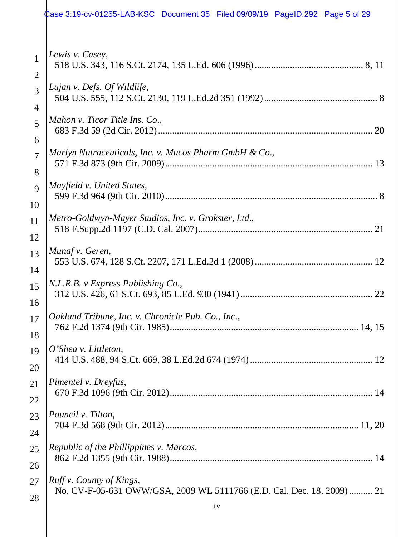|                | Case 3:19-cv-01255-LAB-KSC Document 35 Filed 09/09/19 PageID.292 Page 5 of 29 |
|----------------|-------------------------------------------------------------------------------|
| $\mathbf{1}$   | Lewis v. Casey,                                                               |
| $\overline{2}$ |                                                                               |
| 3              | Lujan v. Defs. Of Wildlife,                                                   |
| 4              |                                                                               |
| 5              | Mahon v. Ticor Title Ins. Co.,                                                |
| 6              |                                                                               |
| $\overline{7}$ | Marlyn Nutraceuticals, Inc. v. Mucos Pharm GmbH & Co.,                        |
| 8              |                                                                               |
| $\overline{Q}$ | Mayfield v. United States,                                                    |
| 10             |                                                                               |
| 11             | Metro-Goldwyn-Mayer Studios, Inc. v. Grokster, Ltd.,                          |
| 12             |                                                                               |
| 13             | Munaf v. Geren,                                                               |
| 14             |                                                                               |
| 15             | N.L.R.B. v Express Publishing Co.,                                            |
| 16             |                                                                               |
| 17             | Oakland Tribune, Inc. v. Chronicle Pub. Co., Inc.,                            |
| 18             |                                                                               |
| 19             | $O'$ Shea v. Littleton,                                                       |
| 20             |                                                                               |
| 21             | Pimentel v. Dreyfus,                                                          |
| 22             |                                                                               |
| 23             | Pouncil v. Tilton,                                                            |
| 24             |                                                                               |
| 25             | Republic of the Phillippines v. Marcos,                                       |
| 26             |                                                                               |
| 27             | Ruff v. County of Kings,                                                      |
| 28             | No. CV-F-05-631 OWW/GSA, 2009 WL 5111766 (E.D. Cal. Dec. 18, 2009)  21        |
|                | iv                                                                            |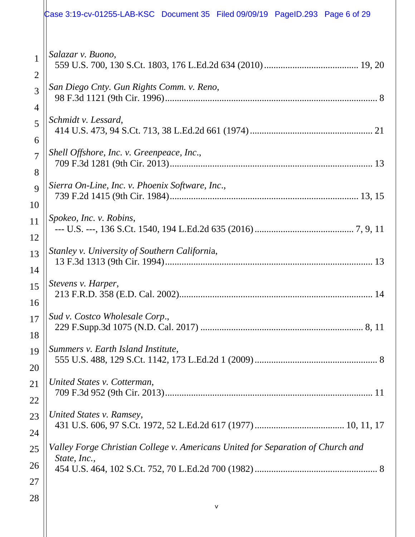# Case 3:19-cv-01255-LAB-KSC Document 35 Filed 09/09/19 PageID.293 Page 6 of 29

| 1<br>$\overline{2}$ | Salazar v. Buono,                                                               |
|---------------------|---------------------------------------------------------------------------------|
| 3                   | San Diego Cnty. Gun Rights Comm. v. Reno,                                       |
| 4                   |                                                                                 |
| 5<br>6              | Schmidt v. Lessard,                                                             |
| $\overline{7}$      | Shell Offshore, Inc. v. Greenpeace, Inc.,                                       |
| 8                   |                                                                                 |
| 9                   | Sierra On-Line, Inc. v. Phoenix Software, Inc.,                                 |
| 10                  |                                                                                 |
| 11<br>12            | Spokeo, Inc. v. Robins,                                                         |
|                     | Stanley v. University of Southern California,                                   |
| 13<br>14            |                                                                                 |
| 15<br>16            | Stevens v. Harper,                                                              |
| 17<br>18            | Sud v. Costco Wholesale Corp.,                                                  |
| 19                  | Summers v. Earth Island Institute,                                              |
| 20                  |                                                                                 |
| 21                  | United States v. Cotterman,                                                     |
| 22                  |                                                                                 |
| 23                  | United States v. Ramsey,                                                        |
| 24                  |                                                                                 |
| 25                  | Valley Forge Christian College v. Americans United for Separation of Church and |
| 26                  | State, Inc.,                                                                    |
| 27                  |                                                                                 |
| 28                  |                                                                                 |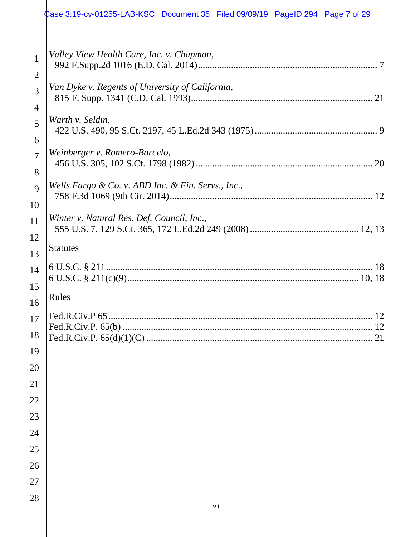|                                | Case 3:19-cv-01255-LAB-KSC Document 35 Filed 09/09/19 PageID.294 Page 7 of 29 |
|--------------------------------|-------------------------------------------------------------------------------|
| $\mathbf{1}$<br>$\overline{2}$ | Valley View Health Care, Inc. v. Chapman,                                     |
| 3<br>$\overline{4}$            | Van Dyke v. Regents of University of California,<br>21                        |
| 5<br>6                         | Warth v. Seldin,                                                              |
| $\overline{7}$<br>8            | Weinberger v. Romero-Barcelo,                                                 |
| 9<br>10                        | Wells Fargo & Co. v. ABD Inc. & Fin. Servs., Inc.,                            |
| 11<br>12                       | Winter v. Natural Res. Def. Council, Inc.,                                    |
| 13                             | <b>Statutes</b>                                                               |
| 14<br>15                       |                                                                               |
| 16                             | Rules                                                                         |
| 17<br>18                       | 12<br>21                                                                      |
| 19                             |                                                                               |
| 20                             |                                                                               |
| 21<br>22                       |                                                                               |
| 23                             |                                                                               |
| 24                             |                                                                               |
| 25                             |                                                                               |
| 26                             |                                                                               |
| 27                             |                                                                               |
| 28                             | vi                                                                            |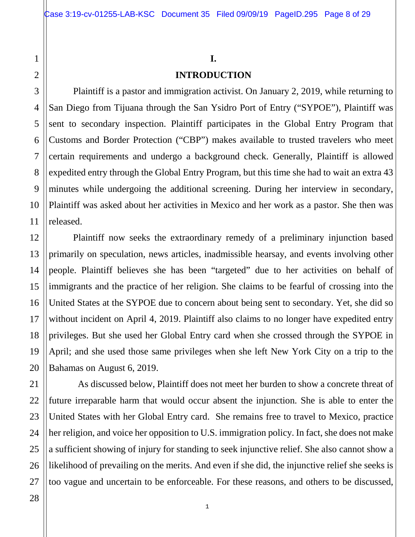#### **I.**

#### **INTRODUCTION**

Plaintiff is a pastor and immigration activist. On January 2, 2019, while returning to San Diego from Tijuana through the San Ysidro Port of Entry ("SYPOE"), Plaintiff was sent to secondary inspection. Plaintiff participates in the Global Entry Program that Customs and Border Protection ("CBP") makes available to trusted travelers who meet certain requirements and undergo a background check. Generally, Plaintiff is allowed expedited entry through the Global Entry Program, but this time she had to wait an extra 43 minutes while undergoing the additional screening. During her interview in secondary, Plaintiff was asked about her activities in Mexico and her work as a pastor. She then was released.

Plaintiff now seeks the extraordinary remedy of a preliminary injunction based primarily on speculation, news articles, inadmissible hearsay, and events involving other people. Plaintiff believes she has been "targeted" due to her activities on behalf of immigrants and the practice of her religion. She claims to be fearful of crossing into the United States at the SYPOE due to concern about being sent to secondary. Yet, she did so without incident on April 4, 2019. Plaintiff also claims to no longer have expedited entry privileges. But she used her Global Entry card when she crossed through the SYPOE in April; and she used those same privileges when she left New York City on a trip to the Bahamas on August 6, 2019.

As discussed below, Plaintiff does not meet her burden to show a concrete threat of future irreparable harm that would occur absent the injunction. She is able to enter the United States with her Global Entry card. She remains free to travel to Mexico, practice her religion, and voice her opposition to U.S. immigration policy. In fact, she does not make a sufficient showing of injury for standing to seek injunctive relief. She also cannot show a likelihood of prevailing on the merits. And even if she did, the injunctive relief she seeks is too vague and uncertain to be enforceable. For these reasons, and others to be discussed,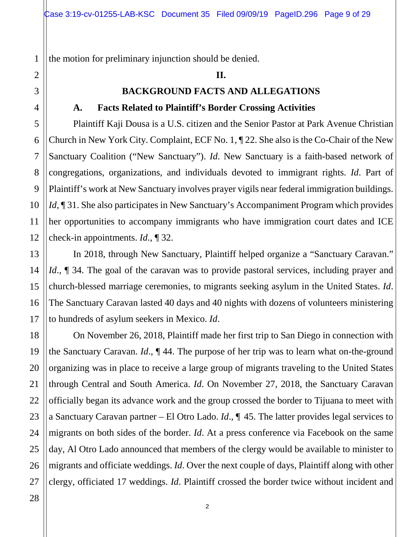the motion for preliminary injunction should be denied.

#### **II.**

#### **BACKGROUND FACTS AND ALLEGATIONS**

#### **A. Facts Related to Plaintiff's Border Crossing Activities**

Plaintiff Kaji Dousa is a U.S. citizen and the Senior Pastor at Park Avenue Christian Church in New York City. Complaint, ECF No. 1, ¶ 22. She also is the Co-Chair of the New Sanctuary Coalition ("New Sanctuary"). *Id*. New Sanctuary is a faith-based network of congregations, organizations, and individuals devoted to immigrant rights. *Id*. Part of Plaintiff's work at New Sanctuary involves prayer vigils near federal immigration buildings. *Id*, **[31.** She also participates in New Sanctuary's Accompaniment Program which provides her opportunities to accompany immigrants who have immigration court dates and ICE check-in appointments. *Id*., ¶ 32.

In 2018, through New Sanctuary, Plaintiff helped organize a "Sanctuary Caravan." *Id.*, **[**] 34. The goal of the caravan was to provide pastoral services, including prayer and church-blessed marriage ceremonies, to migrants seeking asylum in the United States. *Id*. The Sanctuary Caravan lasted 40 days and 40 nights with dozens of volunteers ministering to hundreds of asylum seekers in Mexico. *Id*.

On November 26, 2018, Plaintiff made her first trip to San Diego in connection with the Sanctuary Caravan. *Id*., ¶ 44. The purpose of her trip was to learn what on-the-ground organizing was in place to receive a large group of migrants traveling to the United States through Central and South America. *Id*. On November 27, 2018, the Sanctuary Caravan officially began its advance work and the group crossed the border to Tijuana to meet with a Sanctuary Caravan partner – El Otro Lado. *Id*., ¶ 45. The latter provides legal services to migrants on both sides of the border. *Id*. At a press conference via Facebook on the same day, Al Otro Lado announced that members of the clergy would be available to minister to migrants and officiate weddings. *Id*. Over the next couple of days, Plaintiff along with other clergy, officiated 17 weddings. *Id*. Plaintiff crossed the border twice without incident and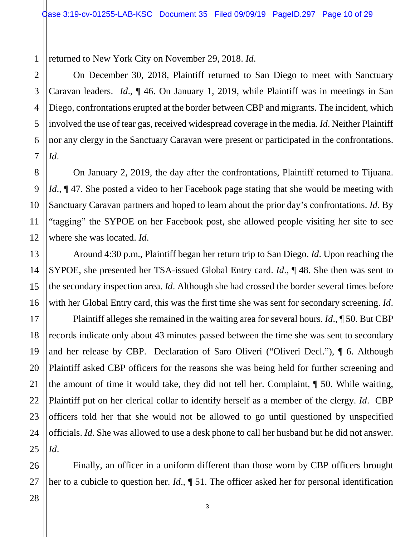1 returned to New York City on November 29, 2018. *Id*.

On December 30, 2018, Plaintiff returned to San Diego to meet with Sanctuary Caravan leaders. *Id*., ¶ 46. On January 1, 2019, while Plaintiff was in meetings in San Diego, confrontations erupted at the border between CBP and migrants. The incident, which involved the use of tear gas, received widespread coverage in the media. *Id*. Neither Plaintiff nor any clergy in the Sanctuary Caravan were present or participated in the confrontations. *Id*.

On January 2, 2019, the day after the confrontations, Plaintiff returned to Tijuana. *Id.*,  $\P$  47. She posted a video to her Facebook page stating that she would be meeting with Sanctuary Caravan partners and hoped to learn about the prior day's confrontations. *Id*. By "tagging" the SYPOE on her Facebook post, she allowed people visiting her site to see where she was located. *Id*.

Around 4:30 p.m., Plaintiff began her return trip to San Diego. *Id*. Upon reaching the SYPOE, she presented her TSA-issued Global Entry card. *Id*., ¶ 48. She then was sent to the secondary inspection area. *Id*. Although she had crossed the border several times before with her Global Entry card, this was the first time she was sent for secondary screening. *Id*.

Plaintiff alleges she remained in the waiting area for several hours. *Id*., ¶ 50. But CBP records indicate only about 43 minutes passed between the time she was sent to secondary and her release by CBP. Declaration of Saro Oliveri ("Oliveri Decl."), ¶ 6. Although Plaintiff asked CBP officers for the reasons she was being held for further screening and the amount of time it would take, they did not tell her. Complaint, ¶ 50. While waiting, Plaintiff put on her clerical collar to identify herself as a member of the clergy. *Id*. CBP officers told her that she would not be allowed to go until questioned by unspecified officials. *Id*. She was allowed to use a desk phone to call her husband but he did not answer. *Id*.

Finally, an officer in a uniform different than those worn by CBP officers brought her to a cubicle to question her. *Id*., ¶ 51. The officer asked her for personal identification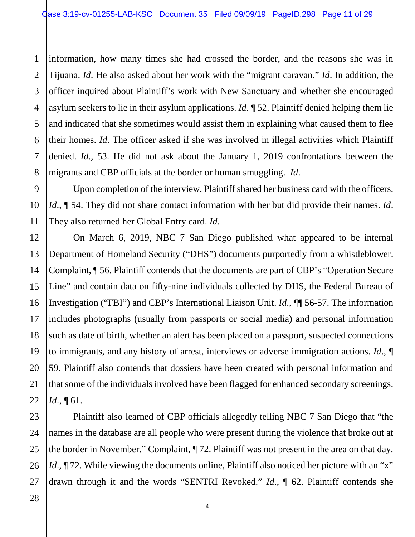1 2 3 information, how many times she had crossed the border, and the reasons she was in Tijuana. *Id*. He also asked about her work with the "migrant caravan." *Id*. In addition, the officer inquired about Plaintiff's work with New Sanctuary and whether she encouraged asylum seekers to lie in their asylum applications. *Id*. ¶ 52. Plaintiff denied helping them lie and indicated that she sometimes would assist them in explaining what caused them to flee their homes. *Id*. The officer asked if she was involved in illegal activities which Plaintiff denied. *Id*., 53. He did not ask about the January 1, 2019 confrontations between the migrants and CBP officials at the border or human smuggling. *Id*.

Upon completion of the interview, Plaintiff shared her business card with the officers. *Id*., ¶ 54. They did not share contact information with her but did provide their names. *Id*. They also returned her Global Entry card. *Id*.

On March 6, 2019, NBC 7 San Diego published what appeared to be internal Department of Homeland Security ("DHS") documents purportedly from a whistleblower. Complaint, ¶ 56. Plaintiff contends that the documents are part of CBP's "Operation Secure Line" and contain data on fifty-nine individuals collected by DHS, the Federal Bureau of Investigation ("FBI") and CBP's International Liaison Unit. *Id*., ¶¶ 56-57. The information includes photographs (usually from passports or social media) and personal information such as date of birth, whether an alert has been placed on a passport, suspected connections to immigrants, and any history of arrest, interviews or adverse immigration actions. *Id*., ¶ 59. Plaintiff also contends that dossiers have been created with personal information and that some of the individuals involved have been flagged for enhanced secondary screenings. *Id*., ¶ 61.

Plaintiff also learned of CBP officials allegedly telling NBC 7 San Diego that "the names in the database are all people who were present during the violence that broke out at the border in November." Complaint, ¶ 72. Plaintiff was not present in the area on that day. *Id.*, ¶ 72. While viewing the documents online, Plaintiff also noticed her picture with an "x" drawn through it and the words "SENTRI Revoked." *Id*., ¶ 62. Plaintiff contends she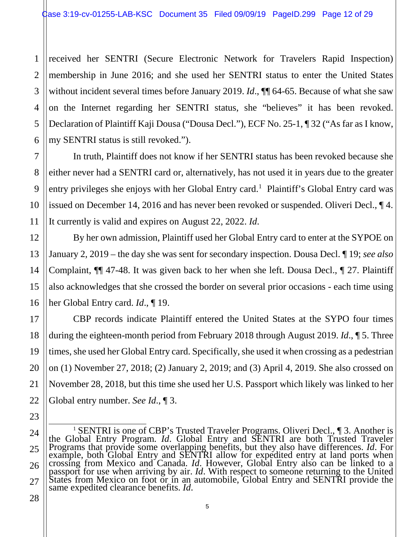1 2 3 4 5 6 received her SENTRI (Secure Electronic Network for Travelers Rapid Inspection) membership in June 2016; and she used her SENTRI status to enter the United States without incident several times before January 2019. *Id.*,  $\P\P$  64-65. Because of what she saw on the Internet regarding her SENTRI status, she "believes" it has been revoked. Declaration of Plaintiff Kaji Dousa ("Dousa Decl."), ECF No. 25-1, ¶ 32 ("As far as I know, my SENTRI status is still revoked.").

In truth, Plaintiff does not know if her SENTRI status has been revoked because she either never had a SENTRI card or, alternatively, has not used it in years due to the greater entry privileges she enjoys with her Global Entry card.<sup>[1](#page-11-0)</sup> Plaintiff's Global Entry card was issued on December 14, 2016 and has never been revoked or suspended. Oliveri Decl., ¶ 4. It currently is valid and expires on August 22, 2022. *Id*.

By her own admission, Plaintiff used her Global Entry card to enter at the SYPOE on January 2, 2019 – the day she was sent for secondary inspection. Dousa Decl. ¶ 19; *see also* Complaint, ¶¶ 47-48. It was given back to her when she left. Dousa Decl., ¶ 27. Plaintiff also acknowledges that she crossed the border on several prior occasions - each time using her Global Entry card. *Id*., ¶ 19.

CBP records indicate Plaintiff entered the United States at the SYPO four times during the eighteen-month period from February 2018 through August 2019. *Id*., ¶ 5. Three times, she used her Global Entry card. Specifically, she used it when crossing as a pedestrian on (1) November 27, 2018; (2) January 2, 2019; and (3) April 4, 2019. She also crossed on November 28, 2018, but this time she used her U.S. Passport which likely was linked to her Global entry number. *See Id*., ¶ 3.

7

8

9

10

<span id="page-11-0"></span><sup>&</sup>lt;sup>1</sup> SENTRI is one of CBP's Trusted Traveler Programs. Oliveri Decl.,  $\P$  3. Another is the Global Entry Program. *Id*. Global Entry and SENTRI are both Trusted Traveler Programs that provide some overlapping benefits, but example, both Global Entry and SENTRI allow for expedited entry at land ports when crossing from Mexico and Canada. *Id*. However, Global Entry also can be linked to a<br>passport for use when arriving by air. *Id*. With respect to someone returning to the United<br>States from Mexico on foot or in an automobi States from Mexico on foot or in an automobile, Global Entry and SENTRI provide the same expedited clearance benefits. *Id*.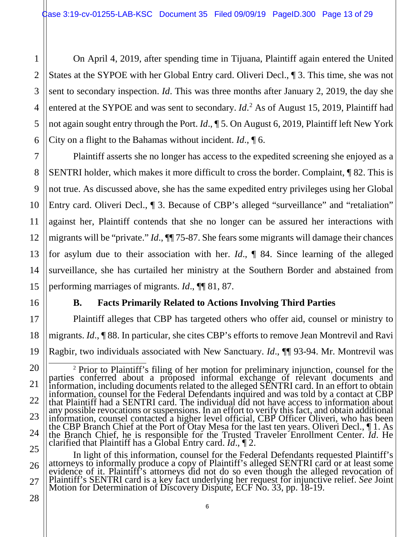On April 4, 2019, after spending time in Tijuana, Plaintiff again entered the United States at the SYPOE with her Global Entry card. Oliveri Decl., ¶ 3. This time, she was not sent to secondary inspection. *Id*. This was three months after January 2, 2019, the day she entered at the SYPOE and was sent to secondary. *Id*.<sup>[2](#page-12-0)</sup> As of August 15, 2019, Plaintiff had not again sought entry through the Port. *Id*., ¶ 5. On August 6, 2019, Plaintiff left New York City on a flight to the Bahamas without incident. *Id*., ¶ 6.

Plaintiff asserts she no longer has access to the expedited screening she enjoyed as a SENTRI holder, which makes it more difficult to cross the border. Complaint, ¶ 82. This is not true. As discussed above, she has the same expedited entry privileges using her Global Entry card. Oliveri Decl.,  $\parallel$  3. Because of CBP's alleged "surveillance" and "retaliation" against her, Plaintiff contends that she no longer can be assured her interactions with migrants will be "private." *Id*., ¶¶ 75-87. She fears some migrants will damage their chances for asylum due to their association with her. *Id*., ¶ 84. Since learning of the alleged surveillance, she has curtailed her ministry at the Southern Border and abstained from performing marriages of migrants. *Id*., ¶¶ 81, 87.

# **B. Facts Primarily Related to Actions Involving Third Parties**

Plaintiff alleges that CBP has targeted others who offer aid, counsel or ministry to migrants. *Id*., ¶ 88. In particular, she cites CBP's efforts to remove Jean Montrevil and Ravi Ragbir, two individuals associated with New Sanctuary. *Id*., ¶¶ 93-94. Mr. Montrevil was

In light of this information, counsel for the Federal Defendants requested Plaintiff's attorneys to informally produce a copy of Plaintiff's alleged SENTRI card or at least some evidence of it. Plaintiff's attorneys did not do so even though the alleged revocation of Plaintiff's SENTRI card is a key fact underlying her request for injunctive relief. *See* Joint Motion for Determination of Discovery Dispute, ECF No. 33, pp. 18-19.

26 27

1

2

3

4

5

6

7

8

9

10

11

12

13

14

15

16

17

18

<span id="page-12-0"></span><sup>20</sup> 21 22 23 24 25 <sup>2</sup> Prior to Plaintiff's filing of her motion for preliminary injunction, counsel for the parties conferred about a proposed informal exchange of relevant documents and information, including documents related to the alleged SENTRI card. In an effort to obtain information, counsel for the Federal Defendants inquired and was told by a contact at CBP that Plaintiff had a SENTRI card. The individual did not have access to information about any possible revocations or suspensions. In an effort to verify this fact, and obtain additional information, counsel contacted a higher level official, CBP Officer Oliveri, who has been the CBP Branch Chief at the Port of Otay Mesa for the last ten years. Oliveri Decl., ¶ 1. As the Branch Chief, he is responsible for the Trusted Traveler Enrollment Center. *Id*. He clarified that Plaintiff has a Global Entry card. *Id*., ¶ 2.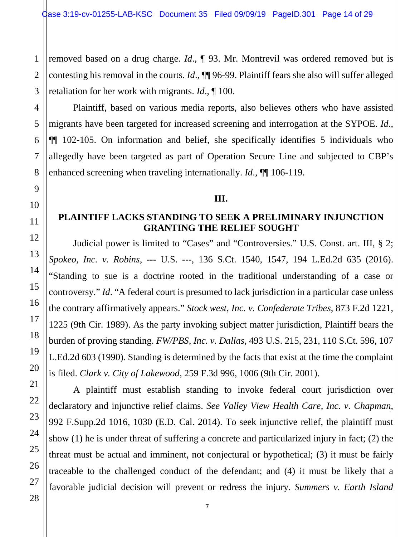1 removed based on a drug charge. *Id*., ¶ 93. Mr. Montrevil was ordered removed but is contesting his removal in the courts. *Id*., ¶¶ 96-99. Plaintiff fears she also will suffer alleged retaliation for her work with migrants. *Id*., ¶ 100.

Plaintiff, based on various media reports, also believes others who have assisted migrants have been targeted for increased screening and interrogation at the SYPOE. *Id*., ¶¶ 102-105. On information and belief, she specifically identifies 5 individuals who allegedly have been targeted as part of Operation Secure Line and subjected to CBP's enhanced screening when traveling internationally. *Id*., ¶¶ 106-119.

#### **III.**

#### **PLAINTIFF LACKS STANDING TO SEEK A PRELIMINARY INJUNCTION GRANTING THE RELIEF SOUGHT**

Judicial power is limited to "Cases" and "Controversies." U.S. Const. art. III, § 2; *Spokeo, Inc. v. Robins*, --- U.S. ---, 136 S.Ct. 1540, 1547, 194 L.Ed.2d 635 (2016). "Standing to sue is a doctrine rooted in the traditional understanding of a case or controversy." *Id*. "A federal court is presumed to lack jurisdiction in a particular case unless the contrary affirmatively appears." *Stock west, Inc. v. Confederate Tribes*, 873 F.2d 1221, 1225 (9th Cir. 1989). As the party invoking subject matter jurisdiction, Plaintiff bears the burden of proving standing. *FW/PBS, Inc. v. Dallas*, 493 U.S. 215, 231, 110 S.Ct. 596, 107 L.Ed.2d 603 (1990). Standing is determined by the facts that exist at the time the complaint is filed. *Clark v. City of Lakewood*, 259 F.3d 996, 1006 (9th Cir. 2001).

A plaintiff must establish standing to invoke federal court jurisdiction over declaratory and injunctive relief claims. *See Valley View Health Care, Inc. v. Chapman*, 992 F.Supp.2d 1016, 1030 (E.D. Cal. 2014). To seek injunctive relief, the plaintiff must show (1) he is under threat of suffering a concrete and particularized injury in fact; (2) the threat must be actual and imminent, not conjectural or hypothetical; (3) it must be fairly traceable to the challenged conduct of the defendant; and (4) it must be likely that a favorable judicial decision will prevent or redress the injury. *Summers v. Earth Island*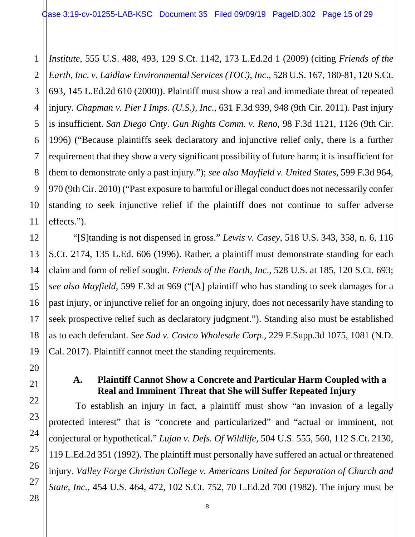1 *Institute*, 555 U.S. 488, 493, 129 S.Ct. 1142, 173 L.Ed.2d 1 (2009) (citing *Friends of the Earth, Inc. v. Laidlaw Environmental Services (TOC), Inc*., 528 U.S. 167, 180-81, 120 S.Ct. 693, 145 L.Ed.2d 610 (2000)). Plaintiff must show a real and immediate threat of repeated injury. *Chapman v. Pier I Imps. (U.S.), Inc*., 631 F.3d 939, 948 (9th Cir. 2011). Past injury is insufficient. *San Diego Cnty. Gun Rights Comm. v. Reno*, 98 F.3d 1121, 1126 (9th Cir. 1996) ("Because plaintiffs seek declaratory and injunctive relief only, there is a further requirement that they show a very significant possibility of future harm; it is insufficient for them to demonstrate only a past injury."); *see also Mayfield v. United States*, 599 F.3d 964, 970 (9th Cir. 2010) ("Past exposure to harmful or illegal conduct does not necessarily confer standing to seek injunctive relief if the plaintiff does not continue to suffer adverse effects.").

"[S]tanding is not dispensed in gross." *Lewis v. Casey*, 518 U.S. 343, 358, n. 6, 116 S.Ct. 2174, 135 L.Ed. 606 (1996). Rather, a plaintiff must demonstrate standing for each claim and form of relief sought. *Friends of the Earth, Inc*., 528 U.S. at 185, 120 S.Ct. 693; *see also Mayfield*, 599 F.3d at 969 ("[A] plaintiff who has standing to seek damages for a past injury, or injunctive relief for an ongoing injury, does not necessarily have standing to seek prospective relief such as declaratory judgment."). Standing also must be established as to each defendant. *See Sud v. Costco Wholesale Corp*., 229 F.Supp.3d 1075, 1081 (N.D. Cal. 2017). Plaintiff cannot meet the standing requirements.

## **A. Plaintiff Cannot Show a Concrete and Particular Harm Coupled with a Real and Imminent Threat that She will Suffer Repeated Injury**

To establish an injury in fact, a plaintiff must show "an invasion of a legally protected interest" that is "concrete and particularized" and "actual or imminent, not conjectural or hypothetical." *Lujan v. Defs. Of Wildlife,* 504 U.S. 555, 560, 112 S.Ct. 2130, 119 L.Ed.2d 351 (1992). The plaintiff must personally have suffered an actual or threatened injury. *Valley Forge Christian College v. Americans United for Separation of Church and State, Inc.,* 454 U.S. 464, 472, 102 S.Ct. 752, 70 L.Ed.2d 700 (1982). The injury must be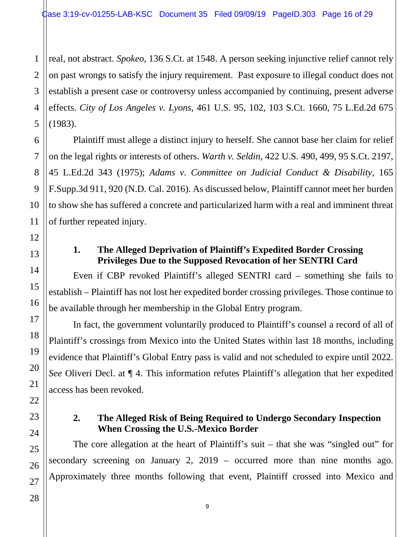3 real, not abstract. *Spokeo,* 136 S.Ct. at 1548. A person seeking injunctive relief cannot rely on past wrongs to satisfy the injury requirement. Past exposure to illegal conduct does not establish a present case or controversy unless accompanied by continuing, present adverse effects. *City of Los Angeles v. Lyons*, 461 U.S. 95, 102, 103 S.Ct. 1660, 75 L.Ed.2d 675 (1983).

Plaintiff must allege a distinct injury to herself. She cannot base her claim for relief on the legal rights or interests of others. *Warth v. Seldin*, 422 U.S. 490, 499, 95 S.Ct. 2197, 45 L.Ed.2d 343 (1975); *Adams v. Committee on Judicial Conduct & Disability*, 165 F.Supp.3d 911, 920 (N.D. Cal. 2016). As discussed below, Plaintiff cannot meet her burden to show she has suffered a concrete and particularized harm with a real and imminent threat of further repeated injury.

### **1. The Alleged Deprivation of Plaintiff's Expedited Border Crossing Privileges Due to the Supposed Revocation of her SENTRI Card**

Even if CBP revoked Plaintiff's alleged SENTRI card – something she fails to establish – Plaintiff has not lost her expedited border crossing privileges. Those continue to be available through her membership in the Global Entry program.

In fact, the government voluntarily produced to Plaintiff's counsel a record of all of Plaintiff's crossings from Mexico into the United States within last 18 months, including evidence that Plaintiff's Global Entry pass is valid and not scheduled to expire until 2022. *See* Oliveri Decl. at ¶ 4. This information refutes Plaintiff's allegation that her expedited access has been revoked.

#### **2. The Alleged Risk of Being Required to Undergo Secondary Inspection When Crossing the U.S.-Mexico Border**

The core allegation at the heart of Plaintiff's suit – that she was "singled out" for secondary screening on January 2, 2019 – occurred more than nine months ago. Approximately three months following that event, Plaintiff crossed into Mexico and

9

1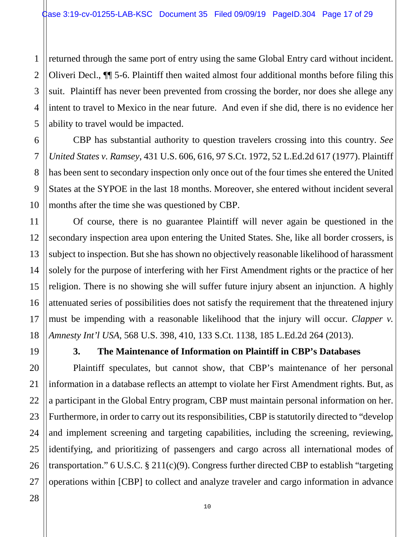1 2 3 4 5 returned through the same port of entry using the same Global Entry card without incident. Oliveri Decl., ¶¶ 5-6. Plaintiff then waited almost four additional months before filing this suit. Plaintiff has never been prevented from crossing the border, nor does she allege any intent to travel to Mexico in the near future. And even if she did, there is no evidence her ability to travel would be impacted.

CBP has substantial authority to question travelers crossing into this country. *See United States v. Ramsey*, 431 U.S. 606, 616, 97 S.Ct. 1972, 52 L.Ed.2d 617 (1977). Plaintiff has been sent to secondary inspection only once out of the four times she entered the United States at the SYPOE in the last 18 months. Moreover, she entered without incident several months after the time she was questioned by CBP.

Of course, there is no guarantee Plaintiff will never again be questioned in the secondary inspection area upon entering the United States. She, like all border crossers, is subject to inspection. But she has shown no objectively reasonable likelihood of harassment solely for the purpose of interfering with her First Amendment rights or the practice of her religion. There is no showing she will suffer future injury absent an injunction. A highly attenuated series of possibilities does not satisfy the requirement that the threatened injury must be impending with a reasonable likelihood that the injury will occur. *Clapper v. Amnesty Int'l USA*, 568 U.S. 398, 410, 133 S.Ct. 1138, 185 L.Ed.2d 264 (2013).

6

7

8

9

10

11

12

13

14

15

16

17

18

19

20

21

22

23

24

25

26

27

#### **3. The Maintenance of Information on Plaintiff in CBP's Databases**

Plaintiff speculates, but cannot show, that CBP's maintenance of her personal information in a database reflects an attempt to violate her First Amendment rights. But, as a participant in the Global Entry program, CBP must maintain personal information on her. Furthermore, in order to carry out its responsibilities, CBP is statutorily directed to "develop and implement screening and targeting capabilities, including the screening, reviewing, identifying, and prioritizing of passengers and cargo across all international modes of transportation." 6 U.S.C.  $\S 211(c)(9)$ . Congress further directed CBP to establish "targeting operations within [CBP] to collect and analyze traveler and cargo information in advance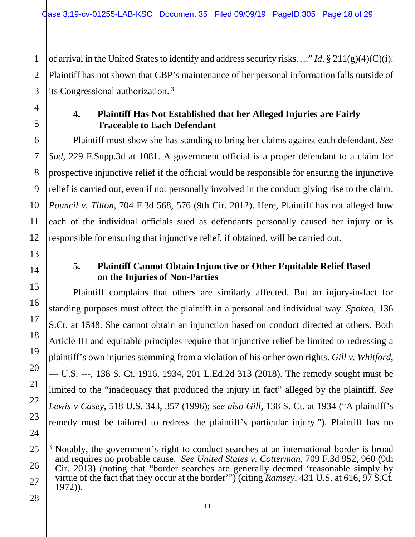of arrival in the United States to identify and address security risks…." *Id*. § 211(g)(4)(C)(i). Plaintiff has not shown that CBP's maintenance of her personal information falls outside of its Congressional authorization.<sup>[3](#page-17-0)</sup>

#### **4. Plaintiff Has Not Established that her Alleged Injuries are Fairly Traceable to Each Defendant**

Plaintiff must show she has standing to bring her claims against each defendant. *See Sud*, 229 F.Supp.3d at 1081. A government official is a proper defendant to a claim for prospective injunctive relief if the official would be responsible for ensuring the injunctive relief is carried out, even if not personally involved in the conduct giving rise to the claim. *Pouncil v. Tilton*, 704 F.3d 568, 576 (9th Cir. 2012). Here, Plaintiff has not alleged how each of the individual officials sued as defendants personally caused her injury or is responsible for ensuring that injunctive relief, if obtained, will be carried out.

## **5. Plaintiff Cannot Obtain Injunctive or Other Equitable Relief Based on the Injuries of Non-Parties**

Plaintiff complains that others are similarly affected. But an injury-in-fact for standing purposes must affect the plaintiff in a personal and individual way. *Spokeo*, 136 S.Ct. at 1548. She cannot obtain an injunction based on conduct directed at others. Both Article III and equitable principles require that injunctive relief be limited to redressing a plaintiff's own injuries stemming from a violation of his or her own rights. *Gill v. Whitford*, --- U.S. ---, 138 S. Ct. 1916, 1934, 201 L.Ed.2d 313 (2018). The remedy sought must be limited to the "inadequacy that produced the injury in fact" alleged by the plaintiff. *See Lewis v Casey*, 518 U.S. 343, 357 (1996); *see also Gill*, 138 S. Ct. at 1934 ("A plaintiff's remedy must be tailored to redress the plaintiff's particular injury."). Plaintiff has no

<span id="page-17-0"></span> $\overline{a}$ <sup>3</sup> Notably, the government's right to conduct searches at an international border is broad and requires no probable cause. *See United States v. Cotterman*, 709 F.3d 952, 960 (9th Cir. 2013) (noting that "border searches are generally deemed 'reasonable simply by virtue of the fact that they occur at the border'") (citing *Ramsey*, 431 U.S. at 616, 97 S.Ct. 1972)).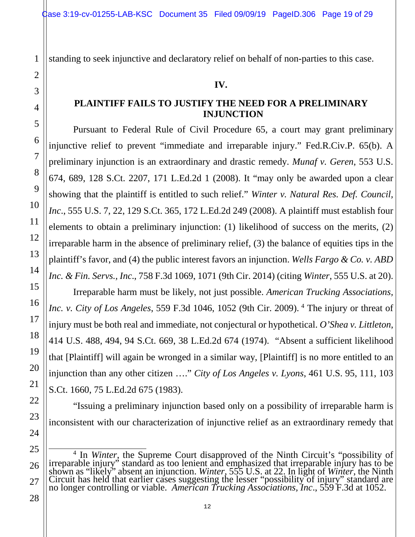standing to seek injunctive and declaratory relief on behalf of non-parties to this case.

#### **IV.**

#### **PLAINTIFF FAILS TO JUSTIFY THE NEED FOR A PRELIMINARY INJUNCTION**

Pursuant to Federal Rule of Civil Procedure 65, a court may grant preliminary injunctive relief to prevent "immediate and irreparable injury." Fed.R.Civ.P. 65(b). A preliminary injunction is an extraordinary and drastic remedy. *Munaf v. Geren*, 553 U.S. 674, 689, 128 S.Ct. 2207, 171 L.Ed.2d 1 (2008). It "may only be awarded upon a clear showing that the plaintiff is entitled to such relief." *Winter v. Natural Res. Def. Council, Inc*., 555 U.S. 7, 22, 129 S.Ct. 365, 172 L.Ed.2d 249 (2008). A plaintiff must establish four elements to obtain a preliminary injunction: (1) likelihood of success on the merits, (2) irreparable harm in the absence of preliminary relief, (3) the balance of equities tips in the plaintiff's favor, and (4) the public interest favors an injunction. *Wells Fargo & Co. v. ABD Inc. & Fin. Servs., Inc*., 758 F.3d 1069, 1071 (9th Cir. 2014) (citing *Winter*, 555 U.S. at 20). Irreparable harm must be likely, not just possible. *American Trucking Associations, Inc. v. City of Los Angeles,* 559 F.3d 10[4](#page-18-0)6, 1052 (9th Cir. 2009). <sup>4</sup> The injury or threat of injury must be both real and immediate, not conjectural or hypothetical. *O'Shea v. Littleton*, 414 U.S. 488, 494, 94 S.Ct. 669, 38 L.Ed.2d 674 (1974). "Absent a sufficient likelihood

that [Plaintiff] will again be wronged in a similar way, [Plaintiff] is no more entitled to an injunction than any other citizen …." *City of Los Angeles v. Lyons*, 461 U.S. 95, 111, 103 S.Ct. 1660, 75 L.Ed.2d 675 (1983).

"Issuing a preliminary injunction based only on a possibility of irreparable harm is inconsistent with our characterization of injunctive relief as an extraordinary remedy that

<span id="page-18-0"></span><sup>&</sup>lt;sup>4</sup> In *Winter*, the Supreme Court disapproved of the Ninth Circuit's "possibility of irreparable injury" standard as too lenient and emphasized that irreparable injury has to be shown as "likely" absent an injunction. *Winter*, 555 U.S. at 22. In light of *Winter*, the Ninth Circuit has held that earlier cases suggesting the lesser "possibility of injury" standard are no longer controlling or viable. *American Trucking Associations, Inc*., 559 F.3d at 1052.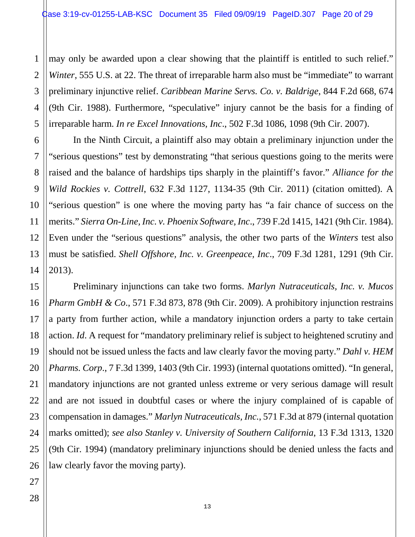1 may only be awarded upon a clear showing that the plaintiff is entitled to such relief." *Winter*, 555 U.S. at 22. The threat of irreparable harm also must be "immediate" to warrant preliminary injunctive relief. *Caribbean Marine Servs. Co. v. Baldrige*, 844 F.2d 668, 674 (9th Cir. 1988). Furthermore, "speculative" injury cannot be the basis for a finding of irreparable harm. *In re Excel Innovations, Inc*., 502 F.3d 1086, 1098 (9th Cir. 2007).

In the Ninth Circuit, a plaintiff also may obtain a preliminary injunction under the "serious questions" test by demonstrating "that serious questions going to the merits were raised and the balance of hardships tips sharply in the plaintiff's favor." *Alliance for the Wild Rockies v. Cottrell*, 632 F.3d 1127, 1134-35 (9th Cir. 2011) (citation omitted). A "serious question" is one where the moving party has "a fair chance of success on the merits." *Sierra On-Line, Inc. v. Phoenix Software, Inc*., 739 F.2d 1415, 1421 (9th Cir. 1984). Even under the "serious questions" analysis, the other two parts of the *Winters* test also must be satisfied. *Shell Offshore, Inc. v. Greenpeace, Inc*., 709 F.3d 1281, 1291 (9th Cir. 2013).

Preliminary injunctions can take two forms. *Marlyn Nutraceuticals, Inc. v. Mucos Pharm GmbH & Co*., 571 F.3d 873, 878 (9th Cir. 2009). A prohibitory injunction restrains a party from further action, while a mandatory injunction orders a party to take certain action. *Id*. A request for "mandatory preliminary relief is subject to heightened scrutiny and should not be issued unless the facts and law clearly favor the moving party." *Dahl v. HEM Pharms. Corp*., 7 F.3d 1399, 1403 (9th Cir. 1993) (internal quotations omitted). "In general, mandatory injunctions are not granted unless extreme or very serious damage will result and are not issued in doubtful cases or where the injury complained of is capable of compensation in damages." *Marlyn Nutraceuticals, Inc.*, 571 F.3d at 879 (internal quotation marks omitted); *see also Stanley v. University of Southern California*, 13 F.3d 1313, 1320 (9th Cir. 1994) (mandatory preliminary injunctions should be denied unless the facts and law clearly favor the moving party).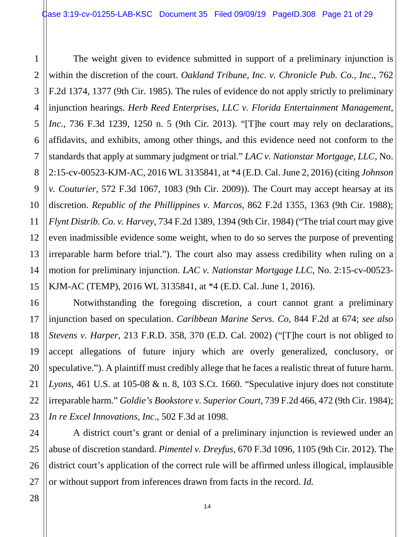3 4 5 6 7 The weight given to evidence submitted in support of a preliminary injunction is within the discretion of the court. *Oakland Tribune, Inc. v. Chronicle Pub. Co., Inc*., 762 F.2d 1374, 1377 (9th Cir. 1985). The rules of evidence do not apply strictly to preliminary injunction hearings. *Herb Reed Enterprises, LLC v. Florida Entertainment Management, Inc*., 736 F.3d 1239, 1250 n. 5 (9th Cir. 2013). "[T]he court may rely on declarations, affidavits, and exhibits, among other things, and this evidence need not conform to the standards that apply at summary judgment or trial." *LAC v. Nationstar Mortgage, LLC*, No. 2:15-cv-00523-KJM-AC, 2016 WL 3135841, at \*4 (E.D. Cal. June 2, 2016) (citing *Johnson v. Couturier*, 572 F.3d 1067, 1083 (9th Cir. 2009)). The Court may accept hearsay at its discretion. *Republic of the Phillippines v. Marcos*, 862 F.2d 1355, 1363 (9th Cir. 1988); *Flynt Distrib. Co. v. Harvey*, 734 F.2d 1389, 1394 (9th Cir. 1984) ("The trial court may give even inadmissible evidence some weight, when to do so serves the purpose of preventing irreparable harm before trial."). The court also may assess credibility when ruling on a motion for preliminary injunction. *LAC v. Nationstar Mortgage LLC*, No. 2:15-cv-00523- KJM-AC (TEMP), 2016 WL 3135841, at \*4 (E.D. Cal. June 1, 2016).

Notwithstanding the foregoing discretion, a court cannot grant a preliminary injunction based on speculation. *Caribbean Marine Servs. Co,* 844 F.2d at 674; *see also Stevens v. Harper*, 213 F.R.D. 358, 370 (E.D. Cal. 2002) ("[T]he court is not obliged to accept allegations of future injury which are overly generalized, conclusory, or speculative."). A plaintiff must credibly allege that he faces a realistic threat of future harm. *Lyons*, 461 U.S. at 105-08 & n. 8, 103 S.Ct. 1660. "Speculative injury does not constitute irreparable harm." *Goldie's Bookstore v. Superior Court*, 739 F.2d 466, 472 (9th Cir. 1984); *In re Excel Innovations, Inc*., 502 F.3d at 1098.

A district court's grant or denial of a preliminary injunction is reviewed under an abuse of discretion standard. *Pimentel v. Dreyfus*, 670 F.3d 1096, 1105 (9th Cir. 2012). The district court's application of the correct rule will be affirmed unless illogical, implausible or without support from inferences drawn from facts in the record. *Id.*

1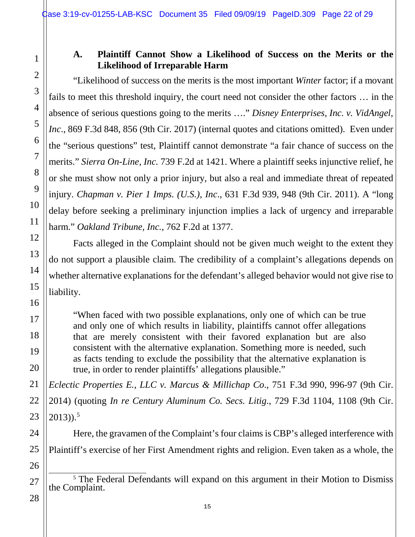#### **A. Plaintiff Cannot Show a Likelihood of Success on the Merits or the Likelihood of Irreparable Harm**

"Likelihood of success on the merits is the most important *Winter* factor; if a movant fails to meet this threshold inquiry, the court need not consider the other factors … in the absence of serious questions going to the merits …." *Disney Enterprises, Inc. v. VidAngel, Inc.*, 869 F.3d 848, 856 (9th Cir. 2017) (internal quotes and citations omitted). Even under the "serious questions" test, Plaintiff cannot demonstrate "a fair chance of success on the merits." *Sierra On-Line, Inc.* 739 F.2d at 1421. Where a plaintiff seeks injunctive relief, he or she must show not only a prior injury, but also a real and immediate threat of repeated injury. *Chapman v. Pier 1 Imps. (U.S.), Inc*., 631 F.3d 939, 948 (9th Cir. 2011). A "long delay before seeking a preliminary injunction implies a lack of urgency and irreparable harm." *Oakland Tribune, Inc.*, 762 F.2d at 1377.

Facts alleged in the Complaint should not be given much weight to the extent they do not support a plausible claim. The credibility of a complaint's allegations depends on whether alternative explanations for the defendant's alleged behavior would not give rise to liability.

"When faced with two possible explanations, only one of which can be true and only one of which results in liability, plaintiffs cannot offer allegations that are merely consistent with their favored explanation but are also consistent with the alternative explanation. Something more is needed, such as facts tending to exclude the possibility that the alternative explanation is true, in order to render plaintiffs' allegations plausible."

*Eclectic Properties E., LLC v. Marcus & Millichap Co*., 751 F.3d 990, 996-97 (9th Cir. 2014) (quoting *In re Century Aluminum Co. Secs. Litig*., 729 F.3d 1104, 1108 (9th Cir.  $2013)$ ).<sup>[5](#page-21-0)</sup>

Here, the gravamen of the Complaint's four claims is CBP's alleged interference with Plaintiff's exercise of her First Amendment rights and religion. Even taken as a whole, the

<span id="page-21-0"></span><sup>5</sup> The Federal Defendants will expand on this argument in their Motion to Dismiss the Complaint.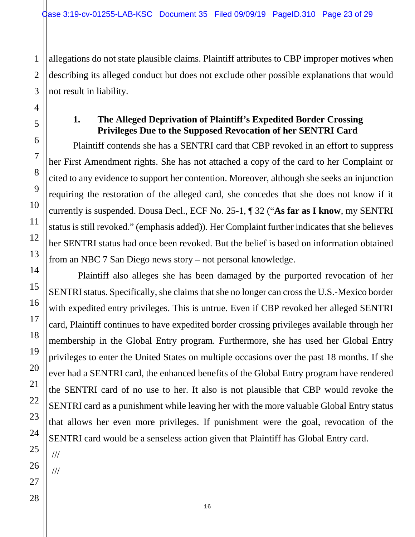allegations do not state plausible claims. Plaintiff attributes to CBP improper motives when describing its alleged conduct but does not exclude other possible explanations that would not result in liability.

#### **1. The Alleged Deprivation of Plaintiff's Expedited Border Crossing Privileges Due to the Supposed Revocation of her SENTRI Card**

Plaintiff contends she has a SENTRI card that CBP revoked in an effort to suppress her First Amendment rights. She has not attached a copy of the card to her Complaint or cited to any evidence to support her contention. Moreover, although she seeks an injunction requiring the restoration of the alleged card, she concedes that she does not know if it currently is suspended. Dousa Decl., ECF No. 25-1, ¶ 32 ("**As far as I know**, my SENTRI status is still revoked." (emphasis added)). Her Complaint further indicates that she believes her SENTRI status had once been revoked. But the belief is based on information obtained from an NBC 7 San Diego news story – not personal knowledge.

 Plaintiff also alleges she has been damaged by the purported revocation of her SENTRI status. Specifically, she claims that she no longer can cross the U.S.-Mexico border with expedited entry privileges. This is untrue. Even if CBP revoked her alleged SENTRI card, Plaintiff continues to have expedited border crossing privileges available through her membership in the Global Entry program. Furthermore, she has used her Global Entry privileges to enter the United States on multiple occasions over the past 18 months. If she ever had a SENTRI card, the enhanced benefits of the Global Entry program have rendered the SENTRI card of no use to her. It also is not plausible that CBP would revoke the SENTRI card as a punishment while leaving her with the more valuable Global Entry status that allows her even more privileges. If punishment were the goal, revocation of the SENTRI card would be a senseless action given that Plaintiff has Global Entry card.

25 26

///

///

1

2

3

4

5

6

7

8

9

10

11

12

13

14

15

16

17

18

19

20

21

22

23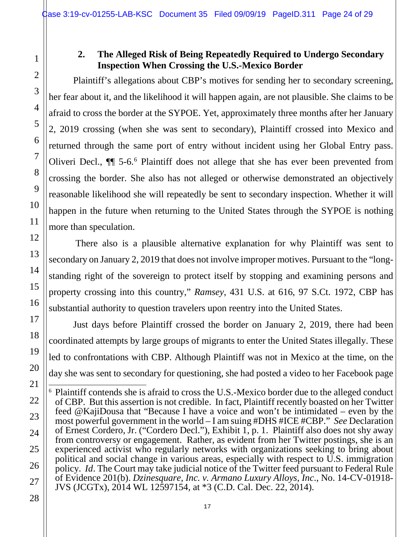# **2. The Alleged Risk of Being Repeatedly Required to Undergo Secondary Inspection When Crossing the U.S.-Mexico Border**

Plaintiff's allegations about CBP's motives for sending her to secondary screening, her fear about it, and the likelihood it will happen again, are not plausible. She claims to be afraid to cross the border at the SYPOE. Yet, approximately three months after her January 2, 2019 crossing (when she was sent to secondary), Plaintiff crossed into Mexico and returned through the same port of entry without incident using her Global Entry pass. Oliveri Decl., ¶¶ 5-6.[6](#page-23-0) Plaintiff does not allege that she has ever been prevented from crossing the border. She also has not alleged or otherwise demonstrated an objectively reasonable likelihood she will repeatedly be sent to secondary inspection. Whether it will happen in the future when returning to the United States through the SYPOE is nothing more than speculation.

There also is a plausible alternative explanation for why Plaintiff was sent to secondary on January 2, 2019 that does not involve improper motives. Pursuant to the "longstanding right of the sovereign to protect itself by stopping and examining persons and property crossing into this country," *Ramsey*, 431 U.S. at 616, 97 S.Ct. 1972, CBP has substantial authority to question travelers upon reentry into the United States.

Just days before Plaintiff crossed the border on January 2, 2019, there had been coordinated attempts by large groups of migrants to enter the United States illegally. These led to confrontations with CBP. Although Plaintiff was not in Mexico at the time, on the day she was sent to secondary for questioning, she had posted a video to her Facebook page

<span id="page-23-0"></span> 6 Plaintiff contends she is afraid to cross the U.S.-Mexico border due to the alleged conduct of CBP. But this assertion is not credible. In fact, Plaintiff recently boasted on her Twitter feed @KajiDousa that "Because I have a voice and won't be intimidated – even by the most powerful government in the world – I am suing #DHS #ICE #CBP." *See* Declaration of Ernest Cordero, Jr. ("Cordero Decl."), Exhibit 1, p. 1. Plaintiff also does not shy away from controversy or engagement. Rather, as evident from her Twitter postings, she is an experienced activist who regularly networks with organizations seeking to bring about political and social change in various areas, especially with respect to U.S. immigration policy. *Id*. The Court may take judicial notice of the Twitter feed pursuant to Federal Rule of Evidence 201(b). *Dzinesquare, Inc. v. Armano Luxury Alloys, Inc*., No. 14-CV-01918- JVS (JCGTx), 2014 WL 12597154, at \*3 (C.D. Cal. Dec. 22, 2014).

<sup>2</sup> 3 4 5 6 7 8 9 10 11 12 13 14 15 16 17 18 19 20 21 22 23 24 25 26 27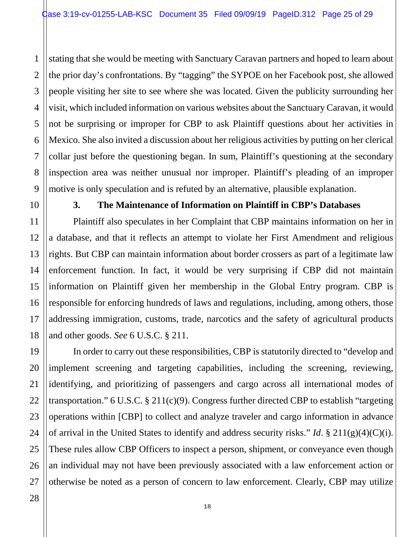1 2 3 4 5 6 7 8 9 stating that she would be meeting with Sanctuary Caravan partners and hoped to learn about the prior day's confrontations. By "tagging" the SYPOE on her Facebook post, she allowed people visiting her site to see where she was located. Given the publicity surrounding her visit, which included information on various websites about the Sanctuary Caravan, it would not be surprising or improper for CBP to ask Plaintiff questions about her activities in Mexico. She also invited a discussion about her religious activities by putting on her clerical collar just before the questioning began. In sum, Plaintiff's questioning at the secondary inspection area was neither unusual nor improper. Plaintiff's pleading of an improper motive is only speculation and is refuted by an alternative, plausible explanation.

10

11

12

13

14

15

16

17

18

19

20

21

22

23

24

25

#### **3. The Maintenance of Information on Plaintiff in CBP's Databases**

Plaintiff also speculates in her Complaint that CBP maintains information on her in a database, and that it reflects an attempt to violate her First Amendment and religious rights. But CBP can maintain information about border crossers as part of a legitimate law enforcement function. In fact, it would be very surprising if CBP did not maintain information on Plaintiff given her membership in the Global Entry program. CBP is responsible for enforcing hundreds of laws and regulations, including, among others, those addressing immigration, customs, trade, narcotics and the safety of agricultural products and other goods. *See* 6 U.S.C. § 211.

26 In order to carry out these responsibilities, CBP is statutorily directed to "develop and implement screening and targeting capabilities, including the screening, reviewing, identifying, and prioritizing of passengers and cargo across all international modes of transportation." 6 U.S.C.  $\S 211(c)(9)$ . Congress further directed CBP to establish "targeting operations within [CBP] to collect and analyze traveler and cargo information in advance of arrival in the United States to identify and address security risks." *Id*. § 211(g)(4)(C)(i). These rules allow CBP Officers to inspect a person, shipment, or conveyance even though an individual may not have been previously associated with a law enforcement action or otherwise be noted as a person of concern to law enforcement. Clearly, CBP may utilize

18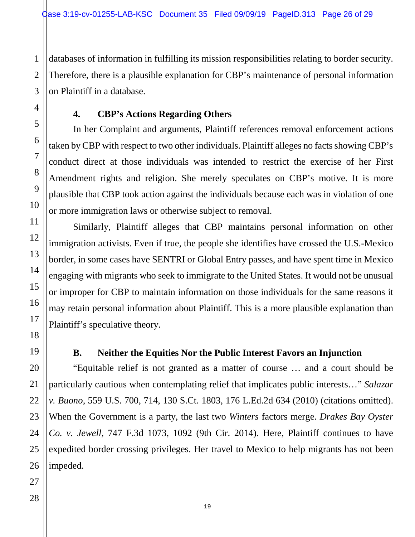databases of information in fulfilling its mission responsibilities relating to border security. Therefore, there is a plausible explanation for CBP's maintenance of personal information on Plaintiff in a database.

## **4. CBP's Actions Regarding Others**

In her Complaint and arguments, Plaintiff references removal enforcement actions taken by CBP with respect to two other individuals. Plaintiff alleges no facts showing CBP's conduct direct at those individuals was intended to restrict the exercise of her First Amendment rights and religion. She merely speculates on CBP's motive. It is more plausible that CBP took action against the individuals because each was in violation of one or more immigration laws or otherwise subject to removal.

Similarly, Plaintiff alleges that CBP maintains personal information on other immigration activists. Even if true, the people she identifies have crossed the U.S.-Mexico border, in some cases have SENTRI or Global Entry passes, and have spent time in Mexico engaging with migrants who seek to immigrate to the United States. It would not be unusual or improper for CBP to maintain information on those individuals for the same reasons it may retain personal information about Plaintiff. This is a more plausible explanation than Plaintiff's speculative theory.

## **B. Neither the Equities Nor the Public Interest Favors an Injunction**

"Equitable relief is not granted as a matter of course … and a court should be particularly cautious when contemplating relief that implicates public interests…" *Salazar v. Buono*, 559 U.S. 700, 714, 130 S.Ct. 1803, 176 L.Ed.2d 634 (2010) (citations omitted). When the Government is a party, the last two *Winters* factors merge. *Drakes Bay Oyster Co. v. Jewell*, 747 F.3d 1073, 1092 (9th Cir. 2014). Here, Plaintiff continues to have expedited border crossing privileges. Her travel to Mexico to help migrants has not been impeded.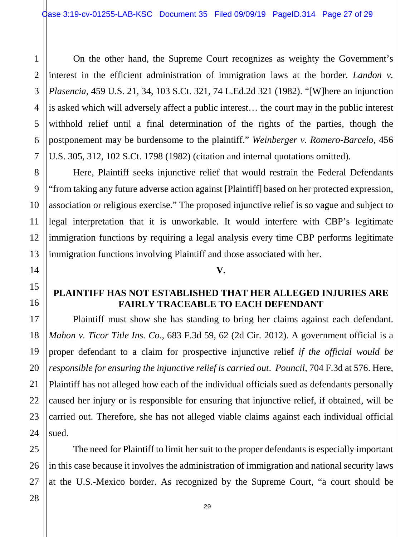4 On the other hand, the Supreme Court recognizes as weighty the Government's interest in the efficient administration of immigration laws at the border. *Landon v. Plasencia*, 459 U.S. 21, 34, 103 S.Ct. 321, 74 L.Ed.2d 321 (1982). "[W]here an injunction is asked which will adversely affect a public interest… the court may in the public interest withhold relief until a final determination of the rights of the parties, though the postponement may be burdensome to the plaintiff." *Weinberger v. Romero-Barcelo*, 456 U.S. 305, 312, 102 S.Ct. 1798 (1982) (citation and internal quotations omitted).

Here, Plaintiff seeks injunctive relief that would restrain the Federal Defendants "from taking any future adverse action against [Plaintiff] based on her protected expression, association or religious exercise." The proposed injunctive relief is so vague and subject to legal interpretation that it is unworkable. It would interfere with CBP's legitimate immigration functions by requiring a legal analysis every time CBP performs legitimate immigration functions involving Plaintiff and those associated with her.

#### **V.**

#### **PLAINTIFF HAS NOT ESTABLISHED THAT HER ALLEGED INJURIES ARE FAIRLY TRACEABLE TO EACH DEFENDANT**

Plaintiff must show she has standing to bring her claims against each defendant. *Mahon v. Ticor Title Ins. Co*., 683 F.3d 59, 62 (2d Cir. 2012). A government official is a proper defendant to a claim for prospective injunctive relief *if the official would be responsible for ensuring the injunctive relief is carried out*. *Pouncil*, 704 F.3d at 576. Here, Plaintiff has not alleged how each of the individual officials sued as defendants personally caused her injury or is responsible for ensuring that injunctive relief, if obtained, will be carried out. Therefore, she has not alleged viable claims against each individual official sued.

The need for Plaintiff to limit her suit to the proper defendants is especially important in this case because it involves the administration of immigration and national security laws at the U.S.-Mexico border. As recognized by the Supreme Court, "a court should be

1

2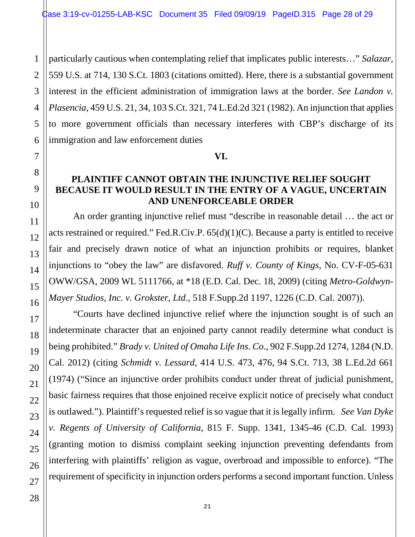1 particularly cautious when contemplating relief that implicates public interests…" *Salazar*, 559 U.S. at 714, 130 S.Ct. 1803 (citations omitted). Here, there is a substantial government interest in the efficient administration of immigration laws at the border. *See Landon v. Plasencia*, 459 U.S. 21, 34, 103 S.Ct. 321, 74 L.Ed.2d 321 (1982). An injunction that applies to more government officials than necessary interferes with CBP's discharge of its immigration and law enforcement duties

#### **VI.**

#### **PLAINTIFF CANNOT OBTAIN THE INJUNCTIVE RELIEF SOUGHT BECAUSE IT WOULD RESULT IN THE ENTRY OF A VAGUE, UNCERTAIN AND UNENFORCEABLE ORDER**

An order granting injunctive relief must "describe in reasonable detail … the act or acts restrained or required." Fed.R.Civ.P. 65(d)(1)(C). Because a party is entitled to receive fair and precisely drawn notice of what an injunction prohibits or requires, blanket injunctions to "obey the law" are disfavored. *Ruff v. County of Kings*, No. CV-F-05-631 OWW/GSA, 2009 WL 5111766, at \*18 (E.D. Cal. Dec. 18, 2009) (citing *Metro-Goldwyn-Mayer Studios, Inc. v. Grokster, Ltd*., 518 F.Supp.2d 1197, 1226 (C.D. Cal. 2007)).

"Courts have declined injunctive relief where the injunction sought is of such an indeterminate character that an enjoined party cannot readily determine what conduct is being prohibited." *Brady v. United of Omaha Life Ins. Co*., 902 F.Supp.2d 1274, 1284 (N.D. Cal. 2012) (citing *Schmidt v. Lessard*, 414 U.S. 473, 476, 94 S.Ct. 713, 38 L.Ed.2d 661 (1974) ("Since an injunctive order prohibits conduct under threat of judicial punishment, basic fairness requires that those enjoined receive explicit notice of precisely what conduct is outlawed."). Plaintiff's requested relief is so vague that it is legally infirm. *See Van Dyke v. Regents of University of California*, 815 F. Supp. 1341, 1345-46 (C.D. Cal. 1993) (granting motion to dismiss complaint seeking injunction preventing defendants from interfering with plaintiffs' religion as vague, overbroad and impossible to enforce). "The requirement of specificity in injunction orders performs a second important function. Unless